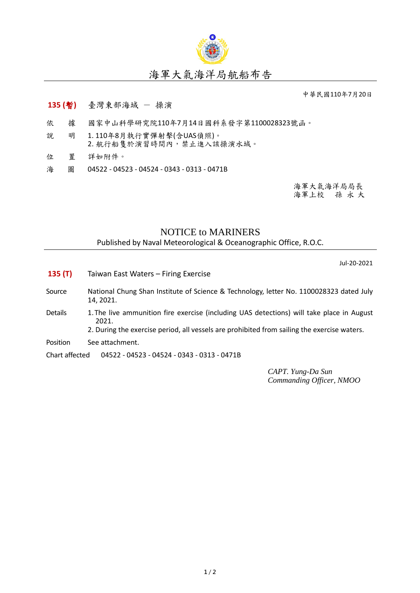

## 海軍大氣海洋局航船布告

中華民國110年7月20日

## **135 (**暫**)** 臺灣東部海域 - 操演

- 依 據 國家中山科學研究院110年7月14日國科系發字第1100028323號函。
- 說 明 1. 110年8月執行實彈射擊(含UAS偵照)。 2. 航行船隻於演習時間內,禁止進入該操演水域。
- 位 置 詳如附件。
- 海 圖 04522 04523 04524 0343 0313 0471B

海軍大氣海洋局局長 海軍上校 孫 永 大

## NOTICE to MARINERS

Published by Naval Meteorological & Oceanographic Office, R.O.C.

Jul-20-2021

**135 (T)** Taiwan East Waters – Firing Exercise Source National Chung Shan Institute of Science & Technology, letter No. 1100028323 dated July 14, 2021. Details 1. The live ammunition fire exercise (including UAS detections) will take place in August 2021. 2. During the exercise period, all vessels are prohibited from sailing the exercise waters. Position See attachment. Chart affected 04522 - 04523 - 04524 - 0343 - 0313 - 0471B

> *CAPT. Yung-Da Sun Commanding Officer, NMOO*